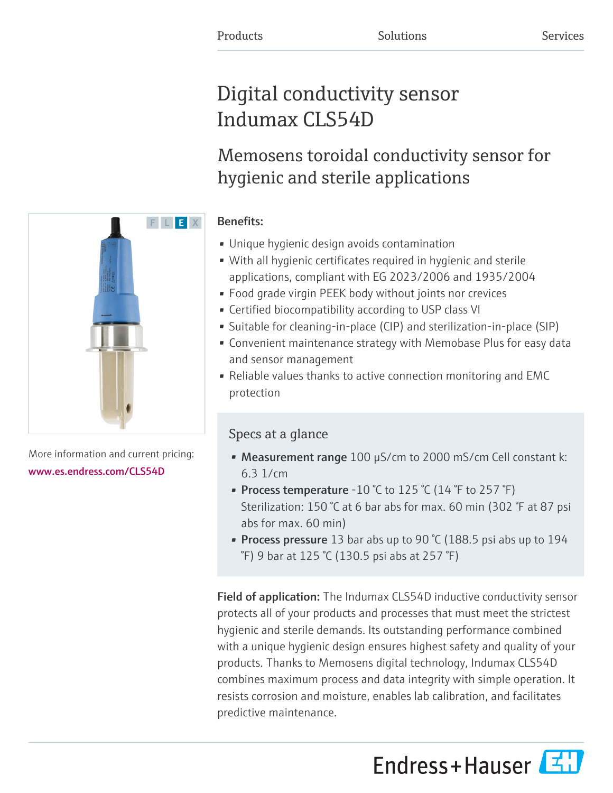# Digital conductivity sensor Indumax CLS54D

# Memosens toroidal conductivity sensor for hygienic and sterile applications

# Benefits:

- Unique hygienic design avoids contamination
- With all hygienic certificates required in hygienic and sterile applications, compliant with EG 2023/2006 and 1935/2004
- Food grade virgin PEEK body without joints nor crevices
- Certified biocompatibility according to USP class VI
- Suitable for cleaning-in-place (CIP) and sterilization-in-place (SIP)
- Convenient maintenance strategy with Memobase Plus for easy data and sensor management
- Reliable values thanks to active connection monitoring and EMC protection

# Specs at a glance

- Measurement range 100 µS/cm to 2000 mS/cm Cell constant k: 6.3 1/cm
- Process temperature -10 °C to 125 °C (14 °F to 257 °F) Sterilization: 150 °C at 6 bar abs for max. 60 min (302 °F at 87 psi abs for max. 60 min)
- Process pressure 13 bar abs up to 90 °C (188.5 psi abs up to 194 °F) 9 bar at 125 °C (130.5 psi abs at 257 °F)

Field of application: The Indumax CLS54D inductive conductivity sensor protects all of your products and processes that must meet the strictest hygienic and sterile demands. Its outstanding performance combined with a unique hygienic design ensures highest safety and quality of your products. Thanks to Memosens digital technology, Indumax CLS54D combines maximum process and data integrity with simple operation. It resists corrosion and moisture, enables lab calibration, and facilitates predictive maintenance.

Endress+Hauser



More information and current pricing: [www.es.endress.com/CLS54D](https://www.es.endress.com/CLS54D)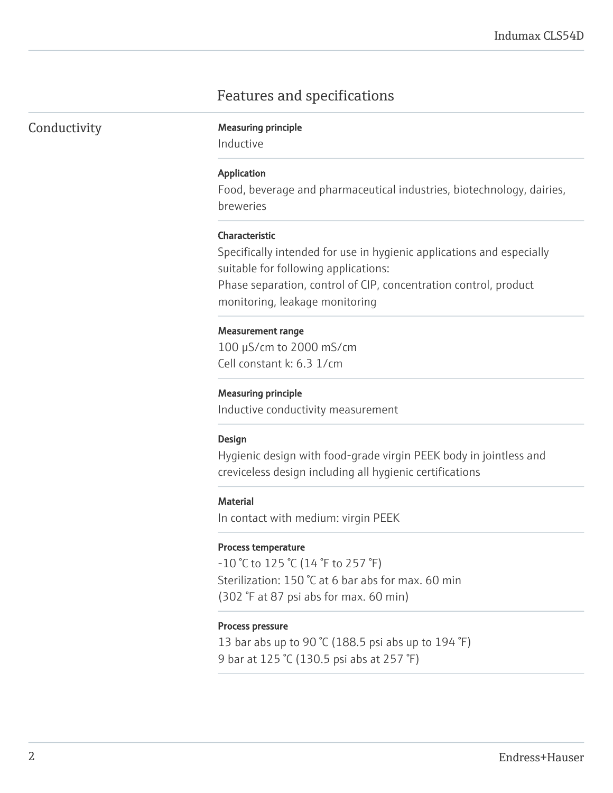# Features and specifications

|  |  | Conductivity |
|--|--|--------------|
|  |  |              |

### **Measuring principle**

Inductive

#### Application

Food, beverage and pharmaceutical industries, biotechnology, dairies, breweries

#### Characteristic

Specifically intended for use in hygienic applications and especially suitable for following applications:

Phase separation, control of CIP, concentration control, product monitoring, leakage monitoring

#### Measurement range

100 µS/cm to 2000 mS/cm Cell constant k: 6.3 1/cm

#### Measuring principle

Inductive conductivity measurement

#### Design

Hygienic design with food-grade virgin PEEK body in jointless and creviceless design including all hygienic certifications

#### **Material**

In contact with medium: virgin PEEK

#### Process temperature

 $-10$  °C to 125 °C (14 °F to 257 °F) Sterilization: 150 °C at 6 bar abs for max. 60 min (302 °F at 87 psi abs for max. 60 min)

#### Process pressure

13 bar abs up to 90 °C (188.5 psi abs up to 194  $\degree$ F) 9 bar at 125 °C (130.5 psi abs at 257 °F)